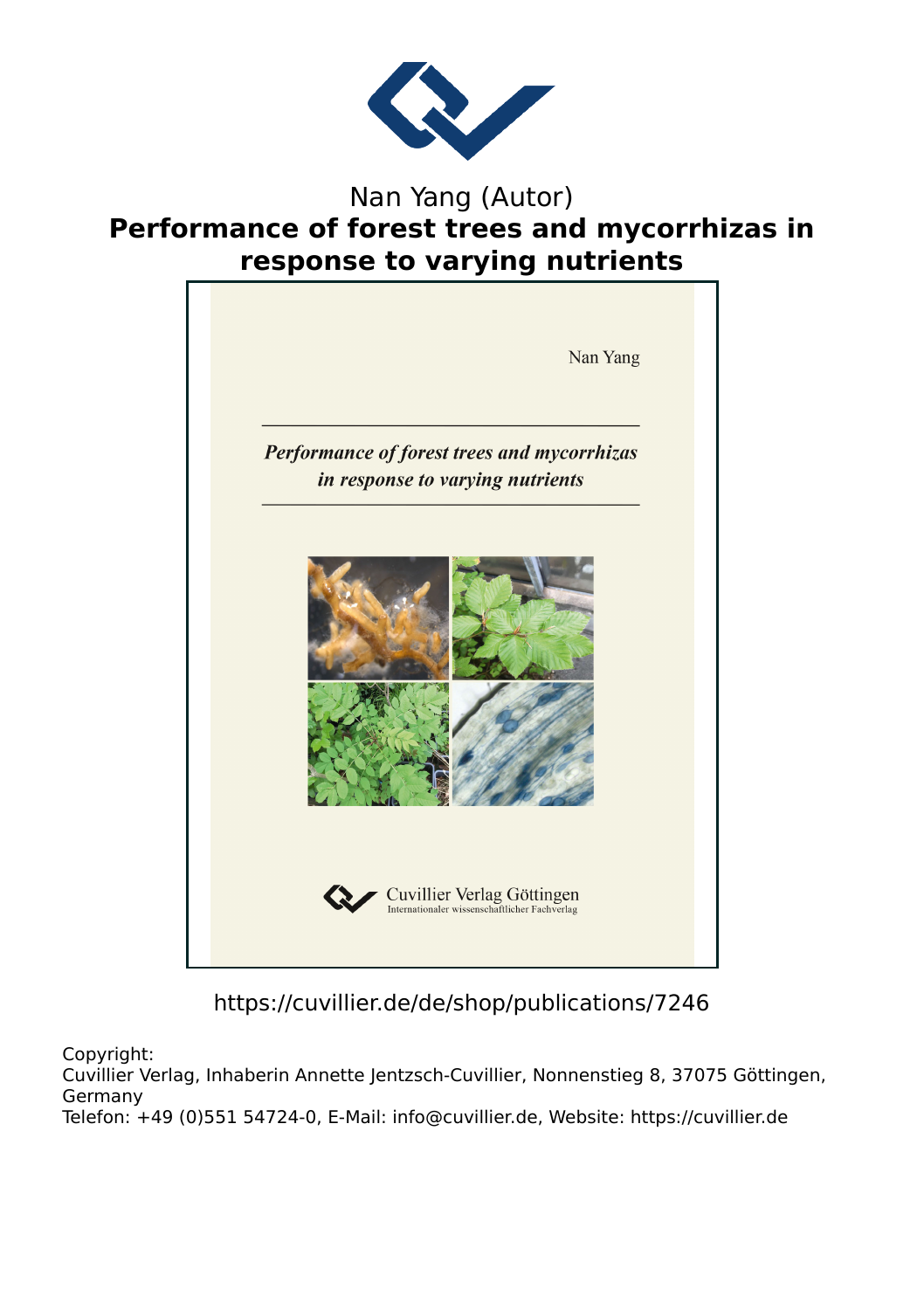

## Nan Yang (Autor) **Performance of forest trees and mycorrhizas in response to varying nutrients**



https://cuvillier.de/de/shop/publications/7246

Copyright:

Cuvillier Verlag, Inhaberin Annette Jentzsch-Cuvillier, Nonnenstieg 8, 37075 Göttingen, Germany Telefon: +49 (0)551 54724-0, E-Mail: info@cuvillier.de, Website: https://cuvillier.de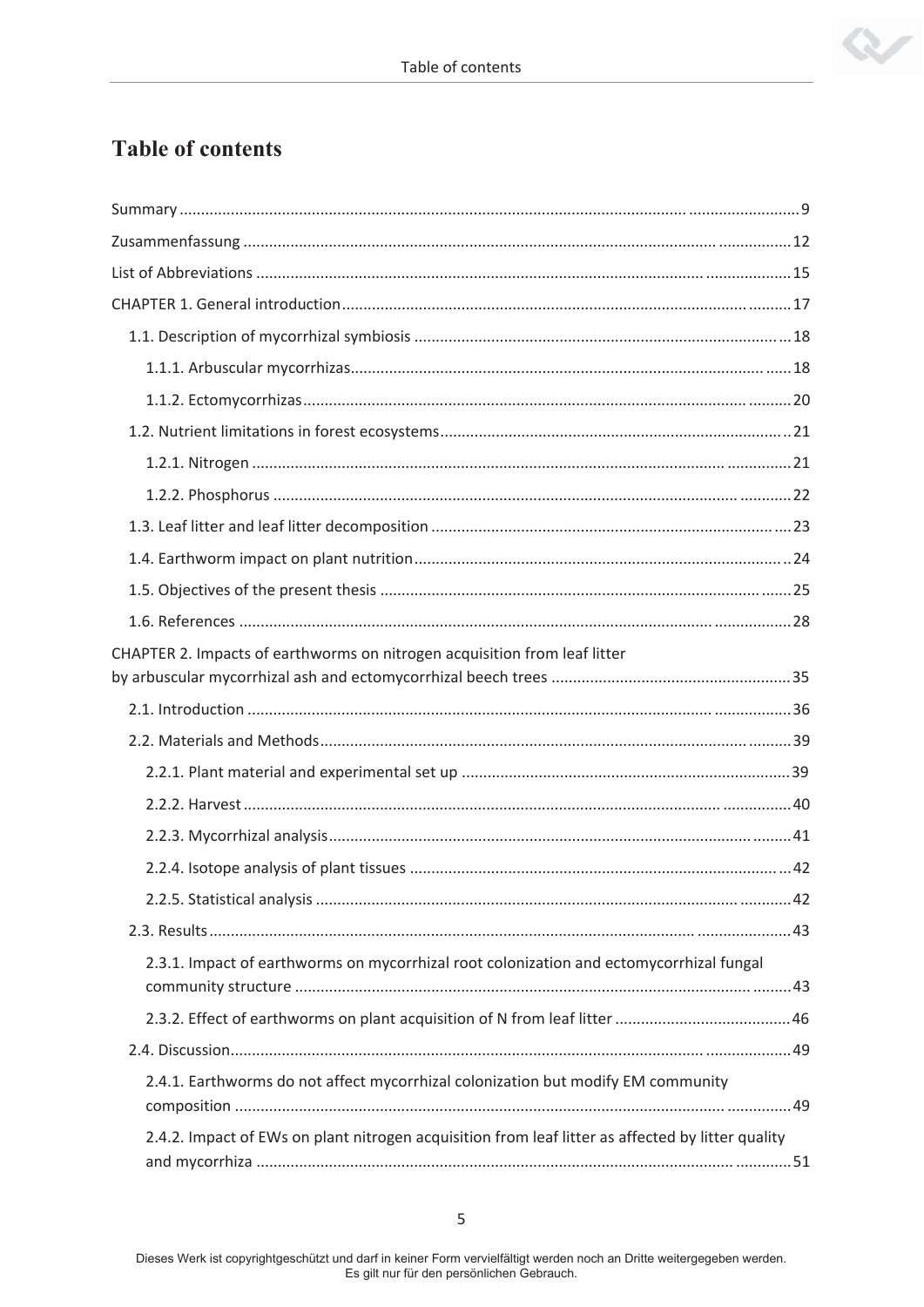

## **Table of contents**

| CHAPTER 2. Impacts of earthworms on nitrogen acquisition from leaf litter                         |
|---------------------------------------------------------------------------------------------------|
|                                                                                                   |
|                                                                                                   |
|                                                                                                   |
|                                                                                                   |
|                                                                                                   |
|                                                                                                   |
|                                                                                                   |
|                                                                                                   |
| 2.3.1. Impact of earthworms on mycorrhizal root colonization and ectomycorrhizal fungal           |
|                                                                                                   |
|                                                                                                   |
| 2.4.1. Earthworms do not affect mycorrhizal colonization but modify EM community                  |
| 2.4.2. Impact of EWs on plant nitrogen acquisition from leaf litter as affected by litter quality |